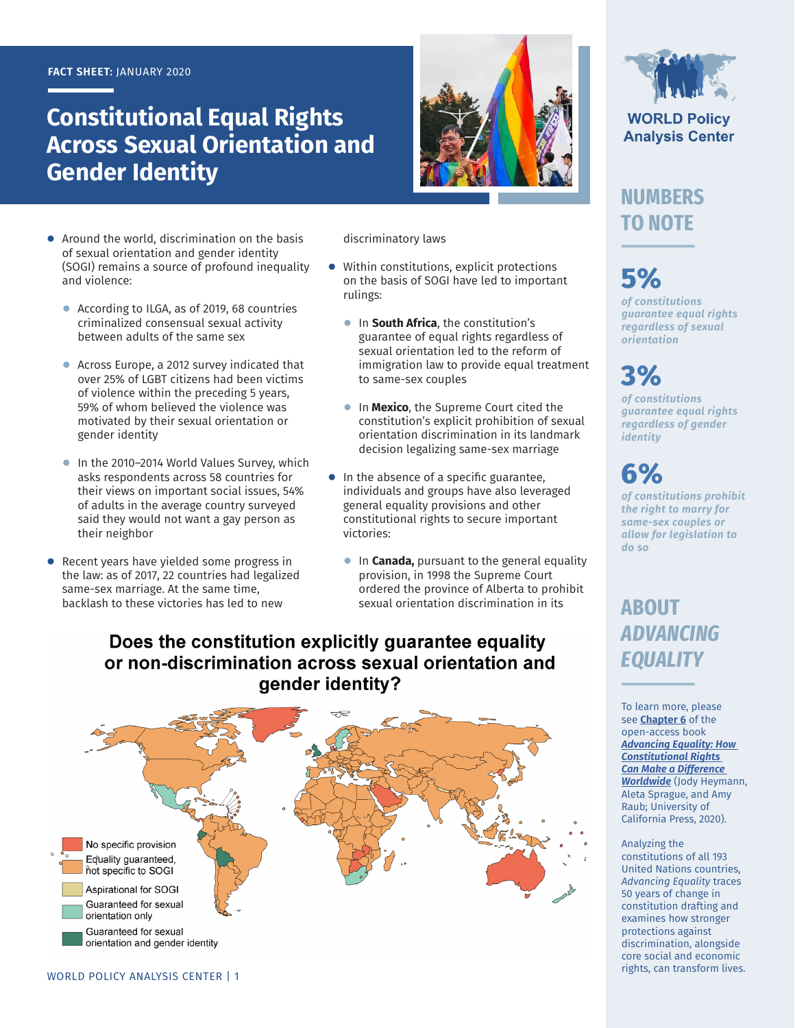#### **FACT SHEET:** JANUARY 2020

## **Constitutional Equal Rights Across Sexual Orientation and Gender Identity**



- **●** Around the world, discrimination on the basis of sexual orientation and gender identity (SOGI) remains a source of profound inequality and violence:
	- **●** According to ILGA, as of 2019, 68 countries criminalized consensual sexual activity between adults of the same sex
	- **●** Across Europe, a 2012 survey indicated that over 25% of LGBT citizens had been victims of violence within the preceding 5 years, 59% of whom believed the violence was motivated by their sexual orientation or gender identity
	- **●** In the 2010–2014 World Values Survey, which asks respondents across 58 countries for their views on important social issues, 54% of adults in the average country surveyed said they would not want a gay person as their neighbor
- **●** Recent years have yielded some progress in the law: as of 2017, 22 countries had legalized same-sex marriage. At the same time, backlash to these victories has led to new

discriminatory laws

- **●** Within constitutions, explicit protections on the basis of SOGI have led to important rulings:
	- **●** In **South Africa**, the constitution's guarantee of equal rights regardless of sexual orientation led to the reform of immigration law to provide equal treatment to same-sex couples
	- **●** In **Mexico**, the Supreme Court cited the constitution's explicit prohibition of sexual orientation discrimination in its landmark decision legalizing same-sex marriage
- **●** In the absence of a specific guarantee, individuals and groups have also leveraged general equality provisions and other constitutional rights to secure important victories:
	- **•** In **Canada**, pursuant to the general equality provision, in 1998 the Supreme Court ordered the province of Alberta to prohibit sexual orientation discrimination in its

### Does the constitution explicitly guarantee equality or non-discrimination across sexual orientation and gender identity?



**WORLD Policy Analysis Center** 

## **NUMBERS TO NOTE**

# **5%**

*of constitutions guarantee equal rights regardless of sexual orientation*

# **3%**

*of constitutions guarantee equal rights regardless of gender identity*

# **6%**

*of constitutions prohibit the right to marry for same-sex couples or allow for legislation to do so*

## **ABOUT**  *ADVANCING EQUALITY*

To learn more, please see **[Chapter 6](https://doi.org/10.1525/luminos.81.g)** of the open-access book *[Advancing Equality: How](https://doi.org/10.1525/luminos.81)  [Constitutional Rights](https://doi.org/10.1525/luminos.81)  [Can Make a Difference](https://doi.org/10.1525/luminos.81)  [Worldwide](https://doi.org/10.1525/luminos.81)* (Jody Heymann, Aleta Sprague, and Amy Raub; University of California Press, 2020).

#### Analyzing the

constitutions of all 193 United Nations countries, *Advancing Equality* traces 50 years of change in constitution drafting and examines how stronger protections against discrimination, alongside core social and economic rights, can transform lives.